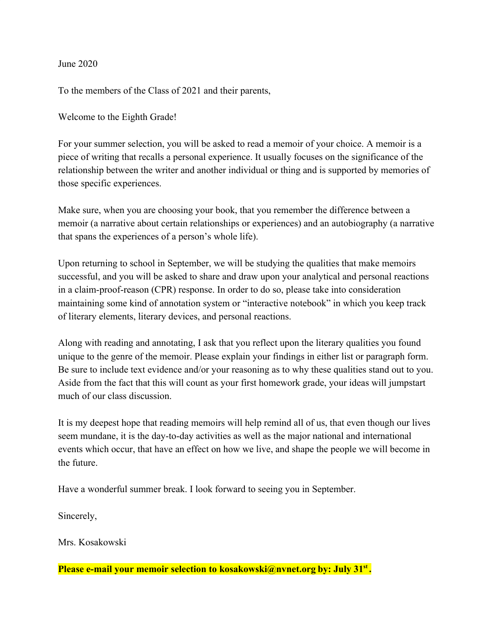June 2020

To the members of the Class of 2021 and their parents,

Welcome to the Eighth Grade!

For your summer selection, you will be asked to read a memoir of your choice. A memoir is a piece of writing that recalls a personal experience. It usually focuses on the significance of the relationship between the writer and another individual or thing and is supported by memories of those specific experiences.

Make sure, when you are choosing your book, that you remember the difference between a memoir (a narrative about certain relationships or experiences) and an autobiography (a narrative that spans the experiences of a person's whole life).

Upon returning to school in September, we will be studying the qualities that make memoirs successful, and you will be asked to share and draw upon your analytical and personal reactions in a claim-proof-reason (CPR) response. In order to do so, please take into consideration maintaining some kind of annotation system or "interactive notebook" in which you keep track of literary elements, literary devices, and personal reactions.

Along with reading and annotating, I ask that you reflect upon the literary qualities you found unique to the genre of the memoir. Please explain your findings in either list or paragraph form. Be sure to include text evidence and/or your reasoning as to why these qualities stand out to you. Aside from the fact that this will count as your first homework grade, your ideas will jumpstart much of our class discussion.

It is my deepest hope that reading memoirs will help remind all of us, that even though our lives seem mundane, it is the day-to-day activities as well as the major national and international events which occur, that have an effect on how we live, and shape the people we will become in the future.

Have a wonderful summer break. I look forward to seeing you in September.

Sincerely,

Mrs. Kosakowski

**Please e-mail your memoir selection to kosakowski@nvnet.org by: July 31st .**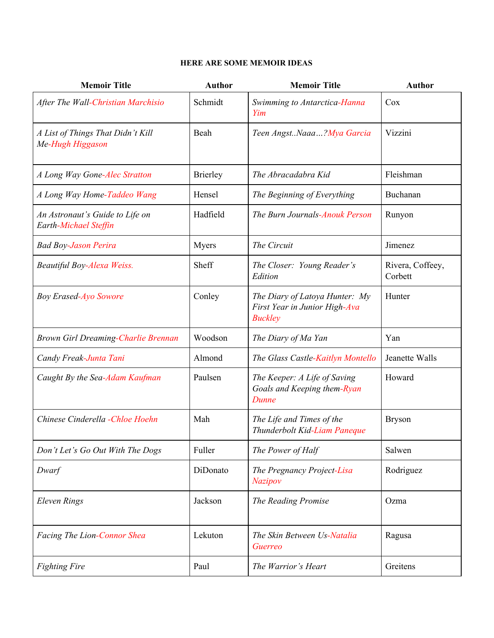## **HERE ARE SOME MEMOIR IDEAS**

| <b>Memoir Title</b>                                      | <b>Author</b>   | <b>Memoir Title</b>                                                               | <b>Author</b>               |
|----------------------------------------------------------|-----------------|-----------------------------------------------------------------------------------|-----------------------------|
| After The Wall-Christian Marchisio                       | Schmidt         | Swimming to Antarctica-Hanna<br>Yim                                               | Cox                         |
| A List of Things That Didn't Kill<br>Me-Hugh Higgason    | Beah            | Teen AngstNaaa?Mya Garcia                                                         | Vizzini                     |
| A Long Way Gone-Alec Stratton                            | <b>Brierley</b> | The Abracadabra Kid                                                               | Fleishman                   |
| A Long Way Home-Taddeo Wang                              | Hensel          | The Beginning of Everything                                                       | Buchanan                    |
| An Astronaut's Guide to Life on<br>Earth-Michael Steffin | Hadfield        | The Burn Journals-Anouk Person                                                    | Runyon                      |
| <b>Bad Boy-Jason Perira</b>                              | Myers           | The Circuit                                                                       | Jimenez                     |
| Beautiful Boy-Alexa Weiss.                               | Sheff           | The Closer: Young Reader's<br>Edition                                             | Rivera, Coffeey,<br>Corbett |
| <b>Boy Erased-Ayo Sowore</b>                             | Conley          | The Diary of Latoya Hunter: My<br>First Year in Junior High-Ava<br><b>Buckley</b> | Hunter                      |
| Brown Girl Dreaming-Charlie Brennan                      | Woodson         | The Diary of Ma Yan                                                               | Yan                         |
| Candy Freak-Junta Tani                                   | Almond          | The Glass Castle-Kaitlyn Montello                                                 | Jeanette Walls              |
| Caught By the Sea-Adam Kaufman                           | Paulsen         | The Keeper: A Life of Saving<br>Goals and Keeping them-Ryan<br>Dunne              | Howard                      |
| Chinese Cinderella - Chloe Hoehn                         | Mah             | The Life and Times of the<br>Thunderbolt Kid-Liam Paneque                         | <b>Bryson</b>               |
| Don't Let's Go Out With The Dogs                         | Fuller          | The Power of Half                                                                 | Salwen                      |
| Dwarf                                                    | DiDonato        | The Pregnancy Project-Lisa<br><b>Nazipov</b>                                      | Rodriguez                   |
| <b>Eleven Rings</b>                                      | Jackson         | The Reading Promise                                                               | Ozma                        |
| Facing The Lion-Connor Shea                              | Lekuton         | The Skin Between Us-Natalia<br>Guerreo                                            | Ragusa                      |
| <b>Fighting Fire</b>                                     | Paul            | The Warrior's Heart                                                               | Greitens                    |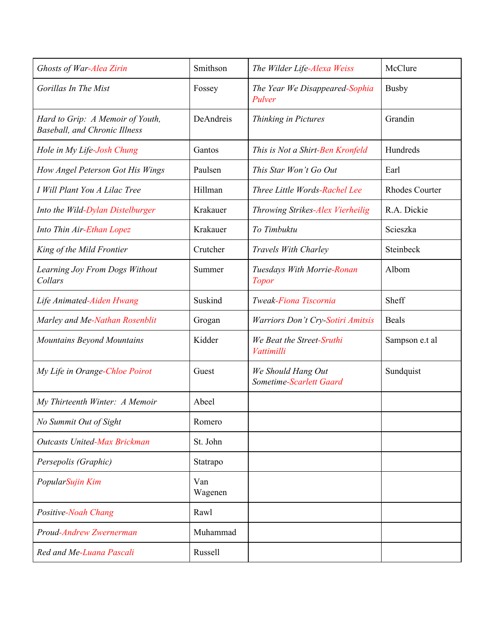| Ghosts of War-Alea Zirin                                                 | Smithson       | The Wilder Life-Alexa Weiss                   | McClure               |
|--------------------------------------------------------------------------|----------------|-----------------------------------------------|-----------------------|
| Gorillas In The Mist                                                     | Fossey         | The Year We Disappeared-Sophia<br>Pulver      | <b>Busby</b>          |
| Hard to Grip: A Memoir of Youth,<br><b>Baseball, and Chronic Illness</b> | DeAndreis      | Thinking in Pictures                          | Grandin               |
| Hole in My Life-Josh Chung                                               | Gantos         | This is Not a Shirt-Ben Kronfeld              | Hundreds              |
| How Angel Peterson Got His Wings                                         | Paulsen        | This Star Won't Go Out                        | Earl                  |
| I Will Plant You A Lilac Tree                                            | Hillman        | Three Little Words-Rachel Lee                 | <b>Rhodes Courter</b> |
| Into the Wild-Dylan Distelburger                                         | Krakauer       | Throwing Strikes-Alex Vierheilig              | R.A. Dickie           |
| Into Thin Air-Ethan Lopez                                                | Krakauer       | To Timbuktu                                   | Scieszka              |
| King of the Mild Frontier                                                | Crutcher       | Travels With Charley                          | Steinbeck             |
| Learning Joy From Dogs Without<br>Collars                                | Summer         | Tuesdays With Morrie-Ronan<br><b>Topor</b>    | Albom                 |
| Life Animated-Aiden Hwang                                                | Suskind        | Tweak-Fiona Tiscornia                         | Sheff                 |
| Marley and Me-Nathan Rosenblit                                           | Grogan         | Warriors Don't Cry-Sotiri Amitsis             | <b>Beals</b>          |
| Mountains Beyond Mountains                                               | Kidder         | We Beat the Street-Sruthi<br>Vattimilli       | Sampson e.t al        |
| My Life in Orange-Chloe Poirot                                           | Guest          | We Should Hang Out<br>Sometime-Scarlett Gaard | Sundquist             |
| My Thirteenth Winter: A Memoir                                           | Abeel          |                                               |                       |
| No Summit Out of Sight                                                   | Romero         |                                               |                       |
| <b>Outcasts United-Max Brickman</b>                                      | St. John       |                                               |                       |
| Persepolis (Graphic)                                                     | Statrapo       |                                               |                       |
| PopularSujin Kim                                                         | Van<br>Wagenen |                                               |                       |
| Positive-Noah Chang                                                      | Rawl           |                                               |                       |
| Proud-Andrew Zwernerman                                                  | Muhammad       |                                               |                       |
| Red and Me-Luana Pascali                                                 | Russell        |                                               |                       |